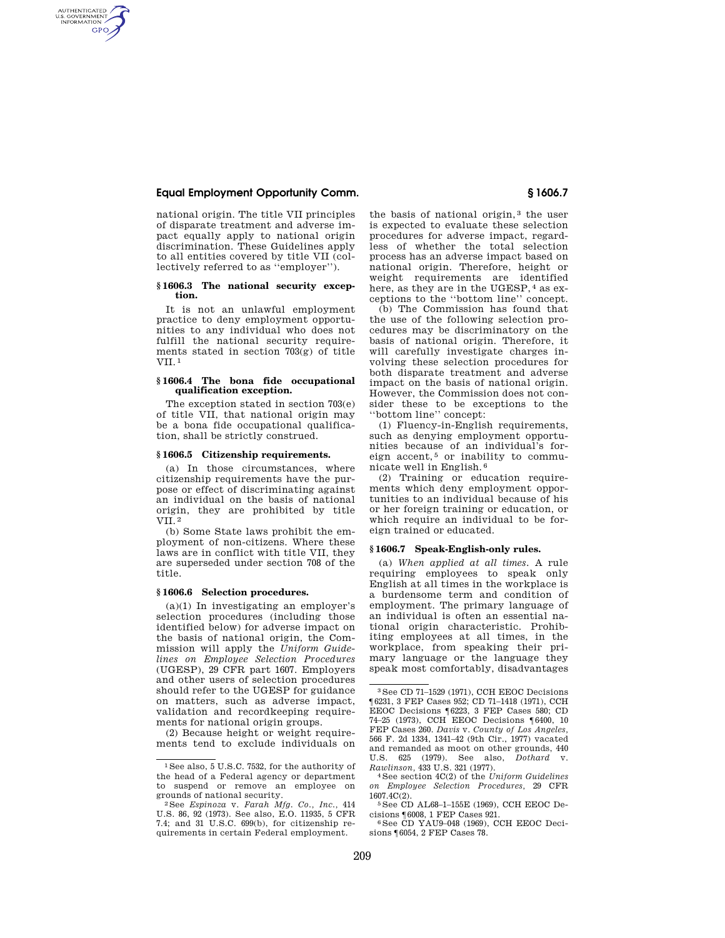# **Equal Employment Opportunity Comm. § 1606.7**

AUTHENTICATED<br>U.S. GOVERNMENT<br>INFORMATION **GPO** 

> national origin. The title VII principles of disparate treatment and adverse impact equally apply to national origin discrimination. These Guidelines apply to all entities covered by title VII (collectively referred to as ''employer'').

### **§ 1606.3 The national security exception.**

It is not an unlawful employment practice to deny employment opportunities to any individual who does not fulfill the national security requirements stated in section  $703(g)$  of title  $VII<sup>1</sup>$ 

## **§ 1606.4 The bona fide occupational qualification exception.**

The exception stated in section 703(e) of title VII, that national origin may be a bona fide occupational qualification, shall be strictly construed.

### **§ 1606.5 Citizenship requirements.**

(a) In those circumstances, where citizenship requirements have the purpose or effect of discriminating against an individual on the basis of national origin, they are prohibited by title VII. 2

(b) Some State laws prohibit the employment of non-citizens. Where these laws are in conflict with title VII, they are superseded under section 708 of the title.

#### **§ 1606.6 Selection procedures.**

 $(a)(1)$  In investigating an employer's selection procedures (including those identified below) for adverse impact on the basis of national origin, the Commission will apply the *Uniform Guidelines on Employee Selection Procedures*  (UGESP), 29 CFR part 1607. Employers and other users of selection procedures should refer to the UGESP for guidance on matters, such as adverse impact, validation and recordkeeping requirements for national origin groups.

(2) Because height or weight requirements tend to exclude individuals on the basis of national origin, 3 the user is expected to evaluate these selection procedures for adverse impact, regardless of whether the total selection process has an adverse impact based on national origin. Therefore, height or weight requirements are identified here, as they are in the UGESP, 4 as exceptions to the ''bottom line'' concept.

(b) The Commission has found that the use of the following selection procedures may be discriminatory on the basis of national origin. Therefore, it will carefully investigate charges involving these selection procedures for both disparate treatment and adverse impact on the basis of national origin. However, the Commission does not consider these to be exceptions to the ''bottom line'' concept:

(1) Fluency-in-English requirements, such as denying employment opportunities because of an individual's foreign accent, $5$  or inability to communicate well in English. 6

(2) Training or education requirements which deny employment opportunities to an individual because of his or her foreign training or education, or which require an individual to be foreign trained or educated.

#### **§ 1606.7 Speak-English-only rules.**

(a) *When applied at all times.* A rule requiring employees to speak only English at all times in the workplace is a burdensome term and condition of employment. The primary language of an individual is often an essential national origin characteristic. Prohibiting employees at all times, in the workplace, from speaking their primary language or the language they speak most comfortably, disadvantages

<sup>1</sup> See also, 5 U.S.C. 7532, for the authority of the head of a Federal agency or department to suspend or remove an employee on

<sup>&</sup>lt;sup>2</sup> See *Espinoza v. Farah Mfg. Co., Inc.*, <sup>414</sup> U.S. 86, 92 (1973). See also, E.O. 11935, 5 CFR 7.4; and 31 U.S.C. 699(b), for citizenship requirements in certain Federal employment.

<sup>3</sup> See CD 71–1529 (1971), CCH EEOC Decisions ¶6231, 3 FEP Cases 952; CD 71–1418 (1971), CCH EEOC Decisions ¶6223, 3 FEP Cases 580; CD 74–25 (1973), CCH EEOC Decisions ¶6400, 10 FEP Cases 260. *Davis* v. *County of Los Angeles,*  566 F. 2d 1334, 1341–42 (9th Cir., 1977) vacated and remanded as moot on other grounds, 440 U.S. 625 (1979). See also, *Dothard* v.

<sup>&</sup>lt;sup>4</sup> See section 4C(2) of the *Uniform Guidelines on Employee Selection Procedures,* 29 CFR

 $5$  See CD AL68–1–155E (1969), CCH EEOC Decisions  $16008$ , 1 FEP Cases 921.

 $^6$ See CD YAU9–048 (1969), CCH EEOC Decisions ¶6054, 2 FEP Cases 78.